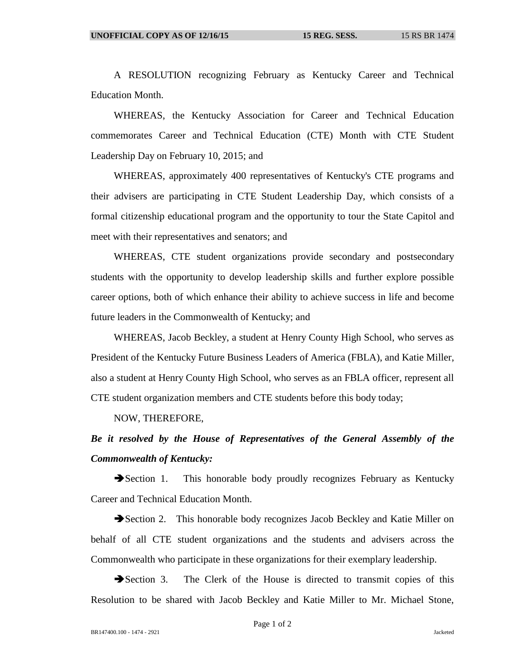A RESOLUTION recognizing February as Kentucky Career and Technical Education Month.

WHEREAS, the Kentucky Association for Career and Technical Education commemorates Career and Technical Education (CTE) Month with CTE Student Leadership Day on February 10, 2015; and

WHEREAS, approximately 400 representatives of Kentucky's CTE programs and their advisers are participating in CTE Student Leadership Day, which consists of a formal citizenship educational program and the opportunity to tour the State Capitol and meet with their representatives and senators; and

WHEREAS, CTE student organizations provide secondary and postsecondary students with the opportunity to develop leadership skills and further explore possible career options, both of which enhance their ability to achieve success in life and become future leaders in the Commonwealth of Kentucky; and

WHEREAS, Jacob Beckley, a student at Henry County High School, who serves as President of the Kentucky Future Business Leaders of America (FBLA), and Katie Miller, also a student at Henry County High School, who serves as an FBLA officer, represent all CTE student organization members and CTE students before this body today;

NOW, THEREFORE,

## *Be it resolved by the House of Representatives of the General Assembly of the Commonwealth of Kentucky:*

Section 1. This honorable body proudly recognizes February as Kentucky Career and Technical Education Month.

Section 2. This honorable body recognizes Jacob Beckley and Katie Miller on behalf of all CTE student organizations and the students and advisers across the Commonwealth who participate in these organizations for their exemplary leadership.

Section 3. The Clerk of the House is directed to transmit copies of this Resolution to be shared with Jacob Beckley and Katie Miller to Mr. Michael Stone,